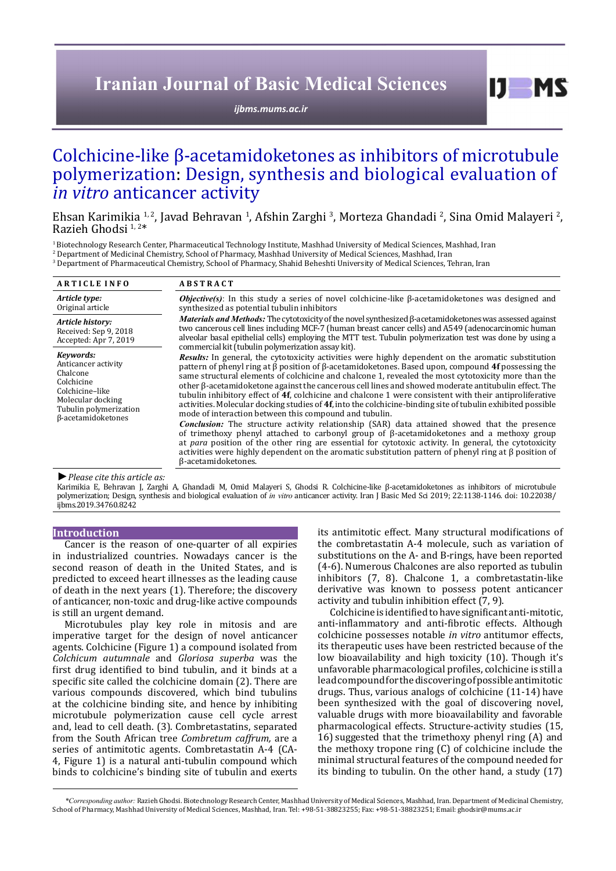# **Iranian Journal of Basic Medical Sciences**

*[ijbms.mums.ac.ir](http://ijbms.mums.ac.ir)*

# Colchicine-like β-acetamidoketones as inhibitors of microtubule polymerization: Design, synthesis and biological evaluation of *in vitro* anticancer activity

Ehsan Karimikia <sup>1, 2</sup>, Javad Behravan <sup>1</sup>, Afshin Zarghi <sup>3</sup>, Morteza Ghandadi <sup>2</sup>, Sina Omid Malayeri <sup>2</sup>,<br>Razieh Ghodsi <sup>1, 2\*</sup>

1 Biotechnology Research Center, Pharmaceutical Technology Institute, Mashhad University of Medical Sciences, Mashhad, Iran 2 Department of Medicinal Chemistry, School of Pharmacy, Mashhad University of Medical Sciences, Mashhad, Iran 3 Department of Pharmaceutical Chemistry, School of Pharmacy, Shahid Beheshti University of Medical Sciences, Tehran, Iran

| <b>ARTICLE INFO</b>                                                                                                                                       | <b>ABSTRACT</b>                                                                                                                                                                                                                                                                                                                                                                                                                                                                                                                                                                                                                                                                                                                                                                                                                                                                                                                                                                                                                                                                                                                                                                               |  |  |  |  |
|-----------------------------------------------------------------------------------------------------------------------------------------------------------|-----------------------------------------------------------------------------------------------------------------------------------------------------------------------------------------------------------------------------------------------------------------------------------------------------------------------------------------------------------------------------------------------------------------------------------------------------------------------------------------------------------------------------------------------------------------------------------------------------------------------------------------------------------------------------------------------------------------------------------------------------------------------------------------------------------------------------------------------------------------------------------------------------------------------------------------------------------------------------------------------------------------------------------------------------------------------------------------------------------------------------------------------------------------------------------------------|--|--|--|--|
| Article type:<br>Original article                                                                                                                         | <b><i>Objective(s)</i></b> : In this study a series of novel colchicine-like $\beta$ -acetamidoketones was designed and<br>synthesized as potential tubulin inhibitors                                                                                                                                                                                                                                                                                                                                                                                                                                                                                                                                                                                                                                                                                                                                                                                                                                                                                                                                                                                                                        |  |  |  |  |
| Article history:<br>Received: Sep 9, 2018<br>Accepted: Apr 7, 2019                                                                                        | Materials and Methods: The cytotoxicity of the novel synthesized $\beta$ -acetamidoketones was assessed against<br>two cancerous cell lines including MCF-7 (human breast cancer cells) and A549 (adenocarcinomic human<br>alveolar basal epithelial cells) employing the MTT test. Tubulin polymerization test was done by using a<br>commercial kit (tubulin polymerization assay kit).                                                                                                                                                                                                                                                                                                                                                                                                                                                                                                                                                                                                                                                                                                                                                                                                     |  |  |  |  |
| Kevwords:<br>Anticancer activity<br>Chalcone<br>Colchicine<br>Colchicine-like<br>Molecular docking<br>Tubulin polymerization<br>$\beta$ -acetamidoketones | Results: In general, the cytotoxicity activities were highly dependent on the aromatic substitution<br>pattern of phenyl ring at $\beta$ position of $\beta$ -acetamidoketones. Based upon, compound 4f possessing the<br>same structural elements of colchicine and chalcone 1, revealed the most cytotoxicity more than the<br>other $\beta$ -acetamidoketone against the cancerous cell lines and showed moderate antitubulin effect. The<br>tubulin inhibitory effect of 4f, colchicine and chalcone 1 were consistent with their antiproliferative<br>activities. Molecular docking studies of $4f$ , into the colchicine-binding site of tubulin exhibited possible<br>mode of interaction between this compound and tubulin.<br><b>Conclusion:</b> The structure activity relationship (SAR) data attained showed that the presence<br>of trimethoxy phenyl attached to carbonyl group of $\beta$ -acetamidoketones and a methoxy group<br>at para position of the other ring are essential for cytotoxic activity. In general, the cytotoxicity<br>activities were highly dependent on the aromatic substitution pattern of phenyl ring at $\beta$ position of<br>ß-acetamidoketones. |  |  |  |  |

#### *►Please cite this article as:*

Karimikia E, Behravan J, Zarghi A, Ghandadi M, Omid Malayeri S, Ghodsi R. Colchicine-like β-acetamidoketones as inhibitors of microtubule polymerization; Design, synthesis and biological evaluation of *in vitro* anticancer activity. Iran J Basic Med Sci 2019; 22:1138-1146. doi: 10.22038/ ijbms.2019.34760.8242

#### **Introduction**

Cancer is the reason of one-quarter of all expiries in industrialized countries. Nowadays cancer is the second reason of death in the United States, and is predicted to exceed heart illnesses as the leading cause of death in the next years (1). Therefore; the discovery of anticancer, non-toxic and drug-like active compounds is still an urgent demand.

Microtubules play key role in mitosis and are imperative target for the design of novel anticancer agents. Colchicine (Figure 1) a compound isolated from *Colchicum autumnale* and *Gloriosa superba* was the first drug identified to bind tubulin, and it binds at a specific site called the colchicine domain (2). There are various compounds discovered, which bind tubulins at the colchicine binding site, and hence by inhibiting microtubule polymerization cause cell cycle arrest and, lead to cell death. (3). Combretastatins, separated from the South African tree *Combretum caffrum,* are a series of antimitotic agents. Combretastatin A-4 (CA-4, Figure 1) is a natural anti-tubulin compound which binds to colchicine's binding site of tubulin and exerts

its antimitotic effect. Many structural modifications of the combretastatin A-4 molecule, such as variation of substitutions on the A- and B-rings, have been reported (4-6). Numerous Chalcones are also reported as tubulin inhibitors (7, 8). Chalcone 1, a combretastatin-like derivative was known to possess potent anticancer activity and tubulin inhibition effect (7, 9).

 $I$   $I$   $M$   $S$ 

Colchicine is identified to have significant anti-mitotic, anti-inflammatory and anti-fibrotic effects. Although colchicine possesses notable *in vitro* antitumor effects, its therapeutic uses have been restricted because of the low bioavailability and high toxicity (10). Though it's unfavorable pharmacological profiles, colchicine is still a lead compound for the discovering of possible antimitotic drugs. Thus, various analogs of colchicine (11-14) have been synthesized with the goal of discovering novel, valuable drugs with more bioavailability and favorable pharmacological effects. Structure-activity studies (15, 16) suggested that the trimethoxy phenyl ring (A) and the methoxy tropone ring (C) of colchicine include the minimal structural features of the compound needed for its binding to tubulin. On the other hand, a study (17)

*\*Corresponding author:* Razieh Ghodsi. Biotechnology Research Center, Mashhad University of Medical Sciences, Mashhad, Iran. Department of Medicinal Chemistry, School of Pharmacy, Mashhad University of Medical Sciences, Mashhad, Iran. Tel: +98-51-38823255; Fax: +98-51-38823251; Email: ghodsir@mums.ac.ir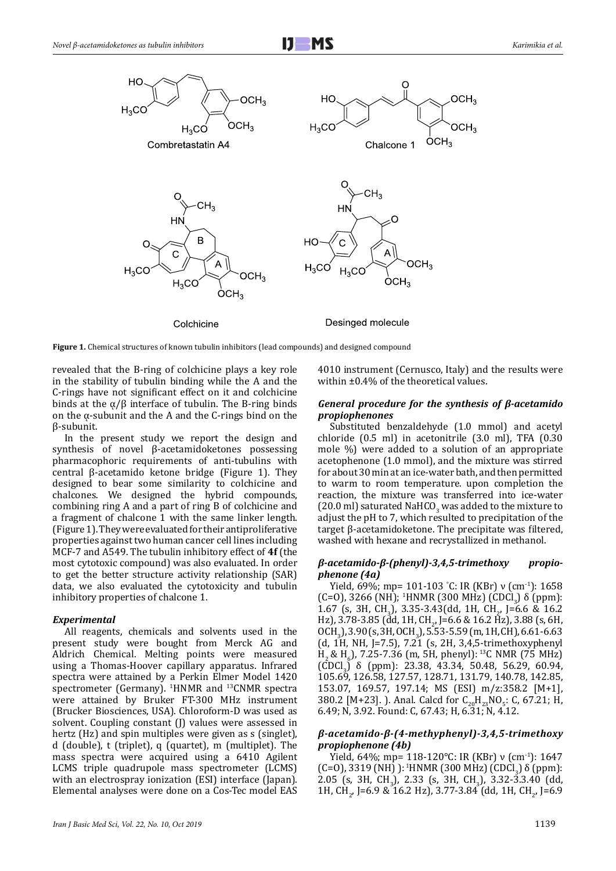

**Figure 1.** Chemical structures of known tubulin inhibitors (lead compounds) and designed compound

revealed that the B-ring of colchicine plays a key role in the stability of tubulin binding while the A and the C-rings have not significant effect on it and colchicine binds at the  $α/β$  interface of tubulin. The B-ring binds on the  $\alpha$ -subunit and the A and the C-rings bind on the β-subunit.

In the present study we report the design and synthesis of novel β-acetamidoketones possessing pharmacophoric requirements of anti-tubulins with central β-acetamido ketone bridge (Figure 1). They designed to bear some similarity to colchicine and chalcones. We designed the hybrid compounds, combining ring A and a part of ring B of colchicine and a fragment of chalcone 1 with the same linker length. (Figure 1). They were evaluated for their antiproliferative properties against two human cancer cell lines including MCF-7 and A549. The tubulin inhibitory effect of **4f** (the most cytotoxic compound) was also evaluated. In order to get the better structure activity relationship (SAR) data, we also evaluated the cytotoxicity and tubulin inhibitory properties of chalcone 1.

## *Experimental*

All reagents, chemicals and solvents used in the present study were bought from Merck AG and Aldrich Chemical. Melting points were measured using a Thomas-Hoover capillary apparatus. Infrared spectra were attained by a Perkin Elmer Model 1420 spectrometer (Germany). <sup>1</sup> HNMR and 13CNMR spectra were attained by Bruker FT-300 MHz instrument (Brucker Biosciences, USA). Chloroform-D was used as solvent. Coupling constant (I) values were assessed in hertz (Hz) and spin multiples were given as s (singlet), d (double), t (triplet), q (quartet), m (multiplet). The mass spectra were acquired using a 6410 Agilent LCMS triple quadrupole mass spectrometer (LCMS) with an electrospray ionization (ESI) interface (Japan). Elemental analyses were done on a Cos-Tec model EAS

4010 instrument (Cernusco, Italy) and the results were within ±0.4% of the theoretical values.

## *General procedure for the synthesis of β-acetamido propiophenones*

Substituted benzaldehyde (1.0 mmol) and acetyl chloride (0.5 ml) in acetonitrile (3.0 ml), TFA (0.30 mole %) were added to a solution of an appropriate acetophenone (1.0 mmol), and the mixture was stirred for about 30 min at an ice-water bath, and then permitted to warm to room temperature. upon completion the reaction, the mixture was transferred into ice-water (20.0 ml) saturated NaHCO<sub>3</sub> was added to the mixture to adjust the pH to 7, which resulted to precipitation of the target β-acetamidoketone. The precipitate was filtered, washed with hexane and recrystallized in methanol.

## *β-acetamido-β-(phenyl)-3,4,5-trimethoxy propiophenone (4a)*

Yield, 69%; mp= 101-103 ° C: IR (KBr) ν (cm-1): 1658 (C=O), 3266 (NH); <sup>1</sup>HNMR (300 MHz) (CDCl<sub>3</sub>)  $\delta$  (ppm): 1.67 (s, 3H, CH<sub>3</sub>), 3.35-3.43(dd, 1H, CH<sub>2</sub>, J=6.6 & 16.2 Hz), 3.78-3.85 (dd, 1H, CH<sub>2</sub>, J=6.6 & 16.2 Hz), 3.88 (s, 6H,<br>0.3H > 2.926, 2H, 0.3H > 5.50 5.506, 4H, 3H) 6.64.660  $OCH_3$ ), 3.90 (s, 3H, OCH<sub>3</sub>), 5.53-5.59 (m, 1H, CH), 6.61-6.63 (d, 1H, NH, J=7.5),  $7.\overline{21}$  (s, 2H, 3,4,5-trimethoxyphenyl  $H_2$ &  $H_6$ ), 7.25-7.36 (m, 5H, phenyl):<sup>13</sup>C NMR (75 MHz) (CDCl<sub>3</sub>) δ (ppm): 23.38, 43.34, 50.48, 56.29, 60.94, 60.94 105.69, 126.58, 127.57, 128.71, 131.79, 140.78, 142.85, 153.07, 169.57, 197.14; MS (ESI) m/z:358.2 [M+1], 380.2 [M+23]. J. Anal. Calcd for  $C_{20}H_{23}NO_5$ : C, 67.21; H, 6.49; N, 3.92. Found: C, 67.43; H, 6.31; N, 4.12.

## *β-acetamido-β-(4-methyphenyl)-3,4,5-trimethoxy propiophenone (4b)*

Yield, 64%; mp= 118-120°C: IR (KBr) ν (cm-1): 1647 (C=O), 3319 (NH) ): <sup>1</sup>HNMR (300 MHz) (CDCl<sub>3</sub>) δ (ppm): 2.05 (s, 3H, CH<sub>3</sub>), 2.33 (s, 3H, CH<sub>3</sub>), 3.32-3.3.40 (dd, 1H, CH<sub>2</sub>, J=6.9 & 16.2 Hz), 3.77-3.84 (dd, 1H, CH<sub>2</sub>, J=6.9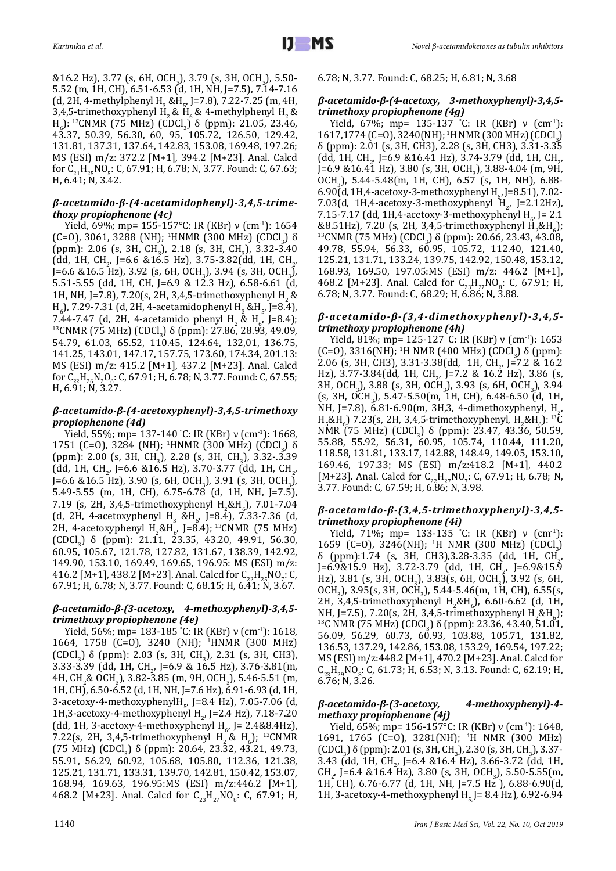&16.2 Hz), 3.77 (s, 6H, OCH<sup>3</sup> ), 3.79 (s, 3H, OCH<sup>3</sup> ), 5.50- 5.52 (m, 1H, CH), 6.51-6.53 (d, 1H, NH, J=7.5), 7.14-7.16 (d, 2H, 4-methylphenyl H<sub>3</sub> &H<sub>5</sub>, J=7.8), 7.22-7.25 (m, 4H, 3,4,5-trimethoxyphenyl H<sub>2</sub> & H<sub>6</sub> & 4-methylphenyl H<sub>2</sub> &  $H<sub>o</sub>$ ): <sup>13</sup>CNMR (75 MHz) (CDCl<sub>3</sub>) δ (ppm): 21.05, 23.46, 43.37, 50.39, 56.30, 60, 95, 105.72, 126.50, 129.42, 131.81, 137.31, 137.64, 142.83, 153.08, 169.48, 197.26; MS (ESI) m/z: 372.2 [M+1], 394.2 [M+23]. Anal. Calcd for  $C_{21}H_{25}NO_5$ : C, 67.91; H, 6.78; N, 3.77. Found: C, 67.63; H, 6.41; N, 3.42.

# *β-acetamido-β-(4-acetamidophenyl)-3,4,5-trimethoxy propiophenone (4c)*

Yield, 69%; mp= 155-157°C: IR (KBr) ν (cm-1): 1654 (C=O), 3061, 3288 (NH); <sup>1</sup>HNMR (300 MHz) (CDCl<sub>3</sub>) δ<br>(See See Sin Sin State Coll Sin Sin Sin State (ppm): 2.06 (s, 3H, CH<sub>3</sub>), 2.18 (s, 3H, CH<sub>3</sub>), 3.32-3.40 (dd, 1H, CH<sub>2</sub>, J=6.6 &16.5 Hz), 3.75-3.82(dd, 1H, CH<sub>2</sub>,  $\frac{1}{2}$ J=6.6 &16.5 Hz), 3.92 (s, 6H, OCH<sup>3</sup> ), 3.94 (s, 3H, OCH<sup>3</sup> ), 5.51-5.55 (dd, 1H, CH, J=6.9 & 12.3 Hz), 6.58-6.61 (d, 1H, NH, J=7.8), 7.20(s, 2H, 3,4,5-trimethoxyphenyl H<sub>2</sub> & H<sub>6</sub>), 7.29-7.31 (d, 2H, 4-acetamidophenyl H<sub>3</sub> &H<sub>5</sub>, J=8.4), 7.44-7.47 (d, 2H, 4-acetamido phenyl H<sub>2</sub> & H<sub>6</sub>, J=8.4);<br>12011 ID 675 MM > 690 CL > 8.6 (c) 25.8 (c) 38.8 (c) 38.9 (c) <sup>13</sup>CNMR (75 MHz) (CDCl<sub>3</sub>) δ (ppm): 27.86, 28.93, 49.09, <br>Γ.Π. Γ΄ Γ΄ Γ΄ Γ΄ Γ΄ Γ΄ 13, 15, 19,161, 199,21, 196, Γ΄ 54.79, 61.03, 65.52, 110.45, 124.64, 132,01, 136.75, 141.25, 143.01, 147.17, 157.75, 173.60, 174.34, 201.13: MS (ESI) m/z: 415.2 [M+1], 437.2 [M+23]. Anal. Calcd for  $C_{22}H_{26}N_2O_6$ : C, 67.91; H, 6.78; N, 3.77. Found: C, 67.55;<br>U. 6.24 H, 6.91; N, 3.27.

# *β-acetamido-β-(4-acetoxyphenyl)-3,4,5-trimethoxy propiophenone (4d)*

Yield, 55%; mp= 137-140 ° C: IR (KBr) ν (cm-1): 1668, 1751 (C=0), 3284 (NH); <sup>1</sup>HNMR (300 MHz) (CDCl<sub>3</sub>) δ (ppm): 2.00 (s, 3H, CH<sub>3</sub>), 2.28 (s, 3H, CH<sub>3</sub>), 3.32-.3.39 (dd, 1H, CH<sub>2</sub>, J=6.6 &16.5 Hz), 3.70-3.77 (dd, 1H, CH<sub>2</sub>,  $\frac{1}{2}$  $J=6.6$  & 16.5 Hz), 3.90 (s, 6H, OCH<sub>3</sub>), 3.91 (s, 3H, OCH<sub>3</sub>), 5.49-5.55 (m, 1H, CH), 6.75-6.78 (d, 1H, NH, J=7.5), 7.19 (s, 2H, 3,4,5-trimethoxyphenyl  $H_2 \& H_6$ ), 7.01-7.04 (d, 2H, 4-acetoxyphenyl H<sub>3</sub> &H<sub>5</sub>, J=8.4), 7.33-7.36 (d, 2H, 4-acetoxyphenyl H<sub>2</sub>&H<sub>6</sub>, J=8.4);<sup>13</sup>CNMR (75 MHz)  $\left[\text{CDCl}_3\right]$  δ (ppm): 21.11, 23.35, 43.20, 49.91, 56.30, 60.95, 105.67, 121.78, 127.82, 131.67, 138.39, 142.92, 149.90, 153.10, 169.49, 169.65, 196.95: MS (ESI) m/z: 416.2 [M+1], 438.2 [M+23]. Anal. Calcd for  $C_{22}H_{25}NO_{7}$ : C,  $C_{5}T_{6}O_{7}$ 67.91; H, 6.78; N, 3.77. Found: C, 68.15; H, 6.41; N, 3.67.

# *β-acetamido-β-(3-acetoxy, 4-methoxyphenyl)-3,4,5 trimethoxy propiophenone (4e)*

Yield, 56%; mp= 183-185 ° C: IR (KBr) ν (cm-1): 1618, 1664, 1758 (C=O), 3240 (NH); <sup>1</sup> HNMR (300 MHz) (CDCl<sub>3</sub>) δ (ppm): 2.03 (s, 3H, CH<sub>3</sub>), 2.31 (s, 3H, CH3),  $3.33$ -3.39 (dd, 1H, CH<sub>2</sub>, J=6.9 & 16.5 Hz), 3.76-3.81(m, 3.76) 4H, CH<sub>2</sub>& OCH<sub>3</sub>), 3.82-3.85 (m, 9H, OCH<sub>3</sub>), 5.46-5.51 (m, 1H, CH), 6.50-6.52 (d, 1H, NH, J=7.6 Hz), 6.91-6.93 (d, 1H, 3-acetoxy-4-methoxyphenylH<sub>5</sub>, J=8.4 Hz), 7.05-7.06 (d, 1H,3-acetoxy-4-methoxyphenyl H<sub>2</sub>, J=2.4 Hz), 7.18-7.20 (dd, 1H, 3-acetoxy-4-methoxyphenyl H<sub>6</sub>, J= 2.4&8.4Hz), 7.22(s, 2H, 3,4,5-trimethoxyphenyl H<sub>2</sub> & H<sub>6</sub>); <sup>13</sup>CNMR (75 MHz) (CDCl<sub>3</sub>) δ (ppm): 20.64, 23.32, 43.21, 49.73, 55.91, 56.29, 60.92, 105.68, 105.80, 112.36, 121.38, 125.21, 131.71, 133.31, 139.70, 142.81, 150.42, 153.07, 168.94, 169.63, 196.95:MS (ESI) m/z:446.2 [M+1], 468.2 [M+23]. Anal. Calcd for  $C_{23}H_{27}NO_8$ : C, 67.91; H, 6.78; N, 3.77. Found: C, 68.25; H, 6.81; N, 3.68

# *β-acetamido-β-(4-acetoxy, 3-methoxyphenyl)-3,4,5 trimethoxy propiophenone (4g)*

Yield, 67%; mp= 135-137 °C: IR (KBr)  $\nu$  (cm<sup>-1</sup>):  $1617,1774$  (C=O), 3240(NH); <sup>1</sup>H NMR (300 MHz) (CDCl<sub>3</sub>) δ (ppm): 2.01 (s, 3H, CH3), 2.28 (s, 3H, CH3), 3.31-3.35 (dd, 1H, CH<sub>2</sub>, J=6.9 &16.41 Hz), 3.74-3.79 (dd, 1H, CH<sub>2</sub>,  $\frac{1}{2}$  $J=6.9$  & 16.41 Hz), 3.80 (s, 3H, OCH<sub>3</sub>), 3.88-4.04 (m, 9H, OCH3 ), 5.44-5.48(m, 1H, CH), 6.57 (s, 1H, NH), 6.88- 6.90(d, 1H,4-acetoxy-3-methoxyphenyl H<sub>5</sub>, J=8.51), 7.02-7.03(d, 1H,4-acetoxy-3-methoxyphenyl H<sub>2</sub>, J=2.12Hz),  $7.15$ - $7.17$  (dd, 1H,4-acetoxy-3-methoxyphenyl H<sub>6</sub>, J= 2.1) &8.51Hz), 7.20 (s, 2H, 3,4,5-trimethoxyphenyl H<sup>2</sup> &H6 ); <sup>13</sup>CNMR (75 MHz) (CDCl<sub>3</sub>) δ (ppm): 20.66, 23.43, 43.08, <br>10.58, 55.01, 56.00, 68.05, 405.59, 44.0.10, 433.10 49.78, 55.94, 56.33, 60.95, 105.72, 112.40, 121.40, 125.21, 131.71, 133.24, 139.75, 142.92, 150.48, 153.12, 168.93, 169.50, 197.05:MS (ESI) m/z: 446.2 [M+1], 468.2 [M+23]. Anal. Calcd for  $C_{23}H_{27}NQ_8$ : C, 67.91; H, 6.78; N, 3.77. Found: C, 68.29; H, 6.86; N, 3.88.

# *β-acetamido-β-(3,4-dimethoxyphenyl)-3,4,5 trimethoxy propiophenone (4h)*

Yield, 81%; mp= 125-127 C: IR (KBr) ν (cm-1): 1653 (C=O), 3316(NH); <sup>1</sup>H NMR (400 MHz) (CDCl<sub>3</sub>) δ (ppm):<br>3.06 (contains) 3.34.3.39(dd, 4H CH, 5.3.8.462) 2.06 (s, 3H, CH3), 3.31-3.38 (dd, 1H, CH<sub>2</sub>, J=7.2 & 16.2 Hz), 3.77-3.84 (dd, 1H, CH<sub>2</sub>, J=7.2 & 16.2 Hz), 3.86 (s, 16.2 hz) 3H, OCH<sub>3</sub>), 3.88 (s, 3H, OCH<sub>3</sub>), 3.93 (s, 6H, OCH<sub>3</sub>), 3.94  $(S, 3H, OCH<sub>3</sub>)$ , 5.47-5.50(m, 1H, CH), 6.48-6.50 (d, 1H, NH, J=7.8), 6.81-6.90(m, 3H,3, 4-dimethoxyphenyl, H<sub>2</sub>, N<sub>2</sub>, 126  $H_5$ &H<sub>6</sub>) 7.23(s, 2H, 3,4,5-trimethoxyphenyl,  $H_2$ &H<sub>6</sub>): <sup>13</sup>C NMR (75 MHz) (CDCl<sub>3</sub>) δ (ppm): 23.47, 43.36, 50.59, <br>E5.38, 55.33, 56.34, 68.35, 485.54, 448.44, 444.88, 55.88, 55.92, 56.31, 60.95, 105.74, 110.44, 111.20, 118.58, 131.81, 133.17, 142.88, 148.49, 149.05, 153.10, 169.46, 197.33; MS (ESI) m/z:418.2 [M+1], 440.2 [M+23]. Anal. Calcd for C<sub>22</sub>H<sub>27</sub>NO<sub>7</sub>: C, 67.91; H, 6.78; N, 3.77. Found: C, 67.59; H, 6.86; N, 3.98.

# *β-acetamido-β-(3,4,5-trimethoxyphenyl)-3,4,5 trimethoxy propiophenone (4i)*

Yield, 71%; mp= 133-135 °C: IR (KBr)  $\nu$  (cm<sup>-1</sup>): 1659 (C=O), 3246(NH); <sup>1</sup>H NMR (300 MHz) (CDCl<sub>3</sub>) δ (ppm):1.74 (s, 3H, CH3),3.28-3.35 (dd, 1H, CH<sup>2</sup> , J=6.9&15.9 Hz), 3.72-3.79 (dd, 1H, CH<sup>2</sup> , J=6.9&15.9 Hz), 3.81 (s, 3H, OCH<sub>3</sub>), 3.83(s, 6H, OCH<sub>3</sub>), 3.92 (s, 6H, 6) OCH<sub>3</sub>), 3.95(s, 3H, OCH<sub>3</sub>), 5.44-5.46(m, 1H, CH), 6.55(s, 0.4H 2H, 3,4,5-trimethoxyphenyl H<sub>2</sub>&H<sub>6</sub>), 6.60-6.62 (d, 1H, NH, J=7.5), 7.20(s, 2H, 3,4,5-trimethoxyphenyl H<sub>2</sub>&H<sub>6</sub>);<br>110 NMD (FE MU) (GDCL) S (comp) 2006, 10,10, E4.04 <sup>13</sup>C NMR (75 MHz) (CDCl<sub>3</sub>) δ (ppm): 23.36, 43.40, 51.01, 56.09, 56.29, 60.73, 60.93, 103.88, 105.71, 131.82, 136.53, 137.29, 142.86, 153.08, 153.29, 169.54, 197.22; MS (ESI) m/z:448.2 [M+1], 470.2 [M+23]. Anal. Calcd for  $C_{23}H_{29}NO_8$ : C, 61.73; H, 6.53; N, 3.13. Found: C, 62.19; H, 6.76; N, 3.26.

# *β-acetamido-β-(3-acetoxy, 4-methoxyphenyl)-4 methoxy propiophenone (4j)*

Yield, 65%; mp= 156-157°C: IR (KBr) ν (cm-1): 1648, 1691, 1765 (C=O), 3281(NH); <sup>1</sup> H NMR (300 MHz) (CDCl<sub>3</sub>) δ (ppm): 2.01 (s, 3H, CH<sub>3</sub>), 2.30 (s, 3H, CH<sub>3</sub>), 3.37- $3.43$  (dd, 1H, CH<sub>2</sub>, J=6.4 &16.4 Hz),  $3.66$ -3.72 (dd, 1H,  $CH_2$ , J=6.4 &16.4 Hz), 3.80 (s, 3H, OCH<sub>3</sub>), 5.50-5.55(m, 1H, CH), 6.76-6.77 (d, 1H, NH, J=7.5 Hz ), 6.88-6.90(d, 1H, 3-acetoxy-4-methoxyphenyl H<sub>5</sub> J= 8.4 Hz), 6.92-6.94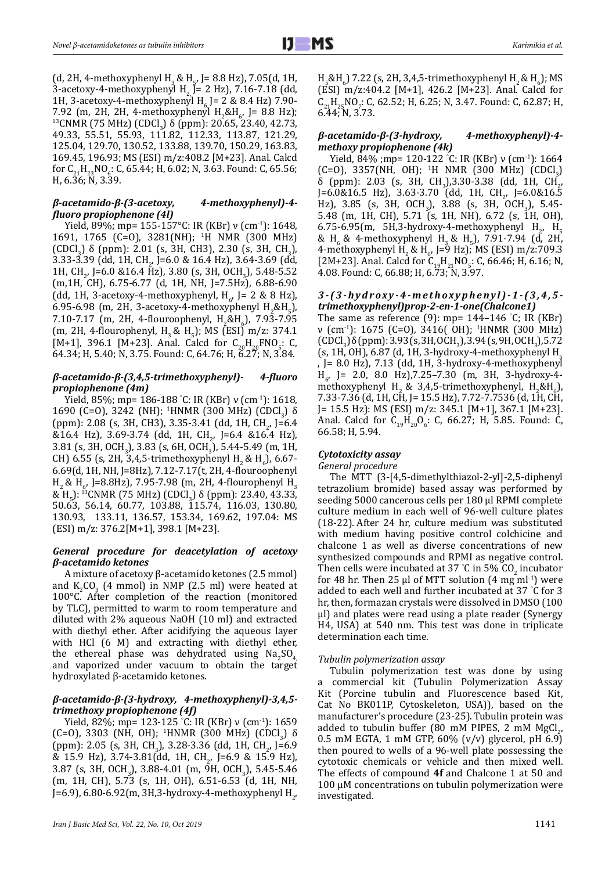(d, 2H, 4-methoxyphenyl H<sub>3</sub> & H<sub>5</sub>, J= 8.8 Hz), 7.05(d, 1H, 3-acetoxy-4-methoxyphenyl H<sub>2</sub>  $\bar{J}$  = 2 Hz), 7.16-7.18 (dd, 1H, 3-acetoxy-4-methoxyphenyl H<sub>c</sub> J= 2 & 8.4 Hz) 7.90- $7.92$  (m, 2H, 2H, 4-methoxyphenyl H<sub>2</sub>&H<sub>6</sub>, J= 8.8 Hz); <sup>13</sup>CNMR (75 MHz) (CDCl<sub>3</sub>) δ (ppm): 20.65, 23.40, 42.73,<br>18.83, 55.54, 55.83, 44.4.83, 23, 44.3.85, 43.4.38 49.33, 55.51, 55.93, 111.82, 112.33, 113.87, 121.29, 125.04, 129.70, 130.52, 133.88, 139.70, 150.29, 163.83, 169.45, 196.93; MS (ESI) m/z:408.2 [M+23]. Anal. Calcd for  $C_{21}H_{23}NO_6$ : C, 65.44; H, 6.02; N, 3.63. Found: C, 65.56; H, 6.36; N, 3.39.

## *β-acetamido-β-(3-acetoxy, 4-methoxyphenyl)-4 fluoro propiophenone (4l)*

Yield, 89%; mp= 155-157°C: IR (KBr) ν (cm-1): 1648, 1691, 1765 (C=O), 3281(NH); <sup>1</sup> H NMR (300 MHz) (CDCl<sub>3</sub>)  $\delta$  (ppm): 2.01 (s, 3H, CH3), 2.30 (s, 3H, CH<sub>3</sub>),  $3.33$ -3.39 (dd, 1H, CH<sub>2</sub>, J=6.0 & 16.4 Hz), 3.64-3.69 (dd, 1 1H, CH<sub>2</sub>, J=6.0 &16.4 Hz), 3.80 (s, 3H, OCH<sub>3</sub>), 5.48-5.52 (m,1H, CH), 6.75-6.77 (d, 1H, NH, J=7.5Hz), 6.88-6.90 (dd, 1H, 3-acetoxy-4-methoxyphenyl, H<sub>6</sub>, J= 2 & 8 Hz), 6.95-6.98 (m, 2H, 3-acetoxy-4-methoxyphenyl H<sub>2</sub>&H<sub>5</sub>), 7.10-7.17 (m, 2H, 4-flouroophenyl,  $H_2 \& H_6$ ), 7.93-7.95 (m, 2H, 4-flourophenyl, H<sub>3</sub> & H<sub>5</sub>); MS (ESI) m/z: 374.1 [M+1], 396.1 [M+23]. Anal. Calcd for  $C_{20}H_{20}FNO_5$ : C, 64.34; H, 5.40; N, 3.75. Found: C, 64.76; H, 6.27; N, 3.84.

## *β-acetamido-β-(3,4,5-trimethoxyphenyl)- 4-fluoro propiophenone (4m)*

Yield, 85%; mp= 186-188 ° C: IR (KBr) ν (cm-1): 1618, 1690 (C=O), 3242 (NH); <sup>1</sup>HNMR (300 MHz) (CDCl<sub>3</sub>) δ (ppm): 2.08 (s, 3H, CH3), 3.35-3.41 (dd, 1H, CH<sub>2</sub>, J=6.4) &16.4 Hz), 3.69-3.74 (dd, 1H, CH<sub>2</sub>, J=6.4 &16.4 Hz),<br>2.84.6 AV, 2.9V > 2.98.6 CV 2.9V > E tt E te 6.4 MV 3.81 (s, 3H, OCH<sub>3</sub>), 3.83 (s, 6H, OCH<sub>3</sub>), 5.44-5.49 (m, 1H, CH) 6.55 (s, 2H, 3,4,5-trimethoxyphenyl H<sub>2</sub> & H<sub>6</sub>), 6.67-6.69(d, 1H, NH, J=8Hz), 7.12-7.17(t, 2H, 4-flouroophenyl  $H_2$ &  $H_6$ , J=8.8Hz), 7.95-7.98 (m, 2H, 4-flourophenyl  $H_3$ & H<sub>5</sub>): <sup>13</sup>CNMR (75 MHz) (CDCl<sub>3</sub>) δ (ppm): 23.40, 43.33, 50.63, 56.14, 60.77, 103.88, 115.74, 116.03, 130.80, 130.93, 133.11, 136.57, 153.34, 169.62, 197.04: MS (ESI) m/z: 376.2[M+1], 398.1 [M+23].

## *General procedure for deacetylation of acetoxy β-acetamido ketones*

A mixture of acetoxy β-acetamido ketones (2.5 mmol) and  $K_2CO_3$  (4 mmol) in NMP (2.5 ml) were heated at 100°C. After completion of the reaction (monitored by TLC), permitted to warm to room temperature and diluted with 2% aqueous NaOH (10 ml) and extracted with diethyl ether. After acidifying the aqueous layer with HCl (6 M) and extracting with diethyl ether, the ethereal phase was dehydrated using  $Na<sub>2</sub>SO<sub>4</sub>$ and vaporized under vacuum to obtain the target hydroxylated β-acetamido ketones.

## *β-acetamido-β-(3-hydroxy, 4-methoxyphenyl)-3,4,5 trimethoxy propiophenone (4f)*

Yield, 82%; mp= 123-125 ° C: IR (KBr) ν (cm-1): 1659 (C=O), 3303 (NH, OH); <sup>1</sup>HNMR (300 MHz) (CDCl<sub>3</sub>) δ<br>
(CDCl<sub>3</sub>) δ (ppm): 2.05 (s, 3H, CH<sub>3</sub>), 3.28-3.36 (dd, 1H, CH<sub>2</sub>, J=6.9) & 15.9 Hz), 3.74-3.81(dd, 1H, CH<sub>2</sub>, J=6.9 & 15.9 Hz),  $3.87$  (s, 3H, OCH<sub>3</sub>), 3.88-4.01 (m, 9H, OCH<sub>3</sub>), 5.45-5.46 (m, 1H, CH), 5.73 (s, 1H, OH), 6.51-6.53 (d, 1H, NH, J=6.9), 6.80-6.92(m, 3H,3-hydroxy-4-methoxyphenyl H<sub>2</sub>,  $H_5$ &H<sub>6</sub>) 7.22 (s, 2H, 3,4,5-trimethoxyphenyl H<sub>2</sub> & H<sub>6</sub>); MS (ESI) m/z:404.2 [M+1], 426.2 [M+23]. Anal. Calcd for  $C_{21}H_{25}NO_7$ : C, 62.52; H, 6.25; N, 3.47. Found: C, 62.87; H, 6.44; N, 3.73.

## *β-acetamido-β-(3-hydroxy, 4-methoxyphenyl)-4 methoxy propiophenone (4k)*

Yield, 84% ;mp= 120-122 ° C: IR (KBr) ν (cm-1): 1664  $(C=0)$ , 3357(NH, OH); <sup>1</sup>H NMR (300 MHz) (CDCl<sub>3</sub>) δ (ppm): 2.03 (s, 3H, CH<sub>3</sub>),3.30-3.38 (dd, 1H, CH<sub>2</sub>, δ) J=6.0&16.5 Hz), 3.63-3.70 (dd, 1H, CH<sup>2</sup> , J=6.0&16.5 Hz), 3.85 (s, 3H, OCH<sub>3</sub>), 3.88 (s, 3H, OCH<sub>3</sub>), 5.45-5.48 (m, 1H, CH), 5.71 (s, 1H, NH), 6.72 (s, 1H, OH), 6.75-6.95(m, 5H,3-hydroxy-4-methoxyphenyl H<sub>2</sub>, H<sub>5</sub> & H<sub>6</sub> & 4-methoxyphenyl H<sub>3</sub> & H<sub>5</sub>), 7.91-7.94 (d, 2H, 4-methoxyphenyl H<sub>2</sub> & H<sub>6</sub>, J=9 Hz); MS (ESI) m/z:709.3 [2M+23]. Anal. Calcd for  $C_{19}H_{21}NO_5$ : C, 66.46; H, 6.16; N, 4.08. Found: C, 66.88; H, 6.73; N, 3.97.

# *3-(3-hydroxy-4-methoxyphenyl)-1-(3,4,5 trimethoxyphenyl)prop-2-en-1-one(Chalcone1)*

The same as reference  $(9)$ : mp= 144–146 °C; IR (KBr)  $v$  (cm<sup>-1</sup>): 1675 (C=0), 3416( OH); <sup>1</sup>HNMR (300 MHz)  $\text{(CDCl}_3)$   $\text{oppm}$ ): 3.93 (s, 3H, OCH<sub>3</sub>), 3.94 (s, 9H, OCH<sub>3</sub>), 5.72 (s, 1H, OH), 6.87 (d, 1H, 3-hydroxy-4-methoxyphenyl H<sub>5</sub> , J= 8.0 Hz), 7.13 (dd, 1H, 3-hydroxy-4-methoxyphenyl  $H_{6}$ , J= 2.0, 8.0 Hz),  $7.25 - 7.30$  (m, 3H, 3-hydroxy-4methoxyphenyl H<sub>2</sub> & 3,4,5-trimethoxyphenyl, H<sub>2</sub>&H<sub>6</sub>), 7.33-7.36 (d, 1H, CH, J= 15.5 Hz), 7.72-7.7536 (d, 1H, CH, J= 15.5 Hz): MS (ESI) m/z: 345.1 [M+1], 367.1 [M+23]. Anal. Calcd for  $C_{19}H_{20}O_6$ : C, 66.27; H, 5.85. Found: C, 66.58; H, 5.94.

## *Cytotoxicity assay*

*General procedure*

The MTT (3-[4,5-dimethylthiazol-2-yl]-2,5-diphenyl tetrazolium bromide) based assay was performed by seeding 5000 cancerous cells per 180 µl RPMI complete culture medium in each well of 96-well culture plates (18-22). After 24 hr, culture medium was substituted with medium having positive control colchicine and chalcone 1 as well as diverse concentrations of new synthesized compounds and RPMI as negative control. Then cells were incubated at 37 °C in 5%  $CO_2$  incubator for 48 hr. Then 25  $\mu$ l of MTT solution (4 mg ml<sup>-1</sup>) were added to each well and further incubated at 37 ° C for 3 hr, then, formazan crystals were dissolved in DMSO (100 µl) and plates were read using a plate reader (Synergy H4, USA) at 540 nm. This test was done in triplicate determination each time.

## *Tubulin polymerization assay*

Tubulin polymerization test was done by using a commercial kit (Tubulin Polymerization Assay Kit (Porcine tubulin and Fluorescence based Kit, Cat No BK011P, Cytoskeleton, USA)), based on the manufacturer's procedure (23-25).Tubulin protein was added to tubulin buffer (80 mM PIPES, 2 mM MgCl<sub>2</sub>,  $\sim$  5 mM scc 0.5 mM EGTA, 1 mM GTP, 60% (v/v) glycerol, pH 6.9) then poured to wells of a 96-well plate possessing the cytotoxic chemicals or vehicle and then mixed well. The effects of compound **4f** and Chalcone 1 at 50 and 100 µM concentrations on tubulin polymerization were investigated.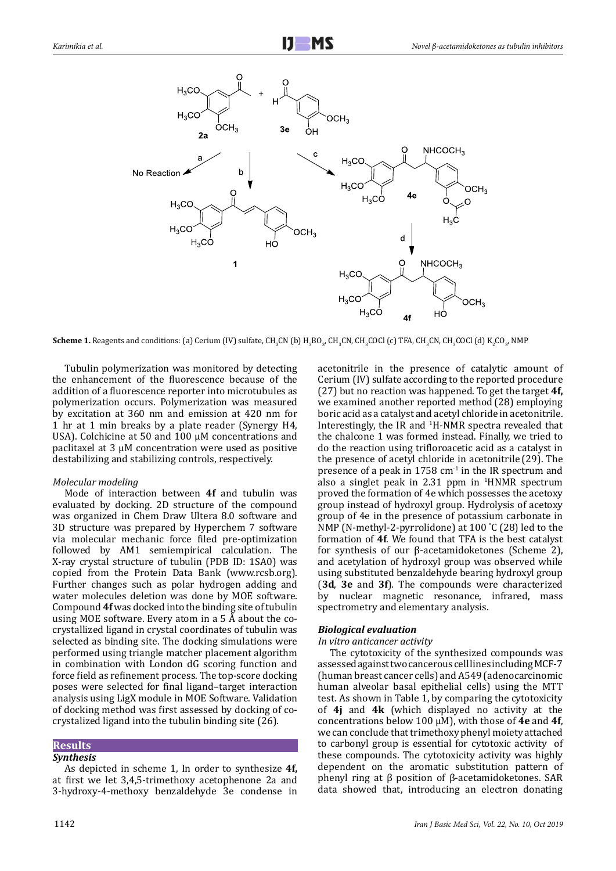

**Scheme 1.** Reagents and conditions: (a) Cerium (IV) sulfate, CH<sub>3</sub>CN (b) H<sub>3</sub>BO<sub>3</sub>, CH<sub>3</sub>CN, CH<sub>3</sub>COCl (c) TFA, CH<sub>3</sub>CN, CH<sub>3</sub>COCl (d) K<sub>2</sub>CO<sub>3</sub>, NMP

Tubulin polymerization was monitored by detecting the enhancement of the fluorescence because of the addition of a fluorescence reporter into microtubules as polymerization occurs. Polymerization was measured by excitation at 360 nm and emission at 420 nm for 1 hr at 1 min breaks by a plate reader (Synergy H4, USA). Colchicine at 50 and 100 µM concentrations and paclitaxel at 3 µM concentration were used as positive destabilizing and stabilizing controls, respectively.

## *Molecular modeling*

Mode of interaction between **4f** and tubulin was evaluated by docking. 2D structure of the compound was organized in Chem Draw Ultera 8.0 software and 3D structure was prepared by Hyperchem 7 software via molecular mechanic force filed pre-optimization followed by AM1 semiempirical calculation. The X-ray crystal structure of tubulin (PDB ID: 1SA0) was copied from the Protein Data Bank ([www.rcsb.org\)](http://www.rcsb.org). Further changes such as polar hydrogen adding and water molecules deletion was done by MOE software. Compound **4f** was docked into the binding site of tubulin using MOE software. Every atom in a 5 Å about the cocrystallized ligand in crystal coordinates of tubulin was selected as binding site. The docking simulations were performed using triangle matcher placement algorithm in combination with London dG scoring function and force field as refinement process. The top-score docking poses were selected for final ligand–target interaction analysis using LigX module in MOE Software. Validation of docking method was first assessed by docking of cocrystalized ligand into the tubulin binding site (26).

#### **Results** *Synthesis*

As depicted in scheme 1, In order to synthesize **4f,**  at first we let 3,4,5-trimethoxy acetophenone 2a and 3-hydroxy-4-methoxy benzaldehyde 3e condense in

acetonitrile in the presence of catalytic amount of Cerium (IV) sulfate according to the reported procedure (27) but no reaction was happened. To get the target **4f,** we examined another reported method (28) employing boric acid as a catalyst and acetyl chloride in acetonitrile. Interestingly, the IR and <sup>1</sup>H-NMR spectra revealed that the chalcone 1 was formed instead. Finally, we tried to do the reaction using trifloroacetic acid as a catalyst in the presence of acetyl chloride in acetonitrile (29). The presence of a peak in 1758 cm-1 in the IR spectrum and also a singlet peak in  $2.31$  ppm in  $HNNR$  spectrum proved the formation of 4e which possesses the acetoxy group instead of hydroxyl group. Hydrolysis of acetoxy group of 4e in the presence of potassium carbonate in NMP (N-methyl-2-pyrrolidone) at 100 ° C (28) led to the formation of **4f**. We found that TFA is the best catalyst for synthesis of our β-acetamidoketones (Scheme 2), and acetylation of hydroxyl group was observed while using substituted benzaldehyde bearing hydroxyl group (**3d**, **3e** and **3f**). The compounds were characterized by nuclear magnetic resonance, infrared, mass spectrometry and elementary analysis.

## *Biological evaluation*

## *In vitro anticancer activity*

The cytotoxicity of the synthesized compounds was assessed against two cancerous cell lines including MCF-7 (human breast cancer cells) and A549 [\(adenocarcinomic](https://en.wikipedia.org/wiki/Adenocarcinoma) [human](https://en.wikipedia.org/wiki/Human) [alveolar](https://en.wikipedia.org/wiki/Pulmonary_alveolus) [basal](https://en.wikipedia.org/wiki/Basal_lamina) [epithelial](https://en.wikipedia.org/wiki/Epithelial) [cells](https://en.wikipedia.org/wiki/Cell_(biology))) using the MTT test. As shown in Table 1, by comparing the cytotoxicity of **4j** and **4k** (which displayed no activity at the concentrations below 100 µM), with those of **4e** and **4f**, we can conclude that trimethoxy phenyl moiety attached to carbonyl group is essential for cytotoxic activity of these compounds. The cytotoxicity activity was highly dependent on the aromatic substitution pattern of phenyl ring at β position of β-acetamidoketones. SAR data showed that, introducing an electron donating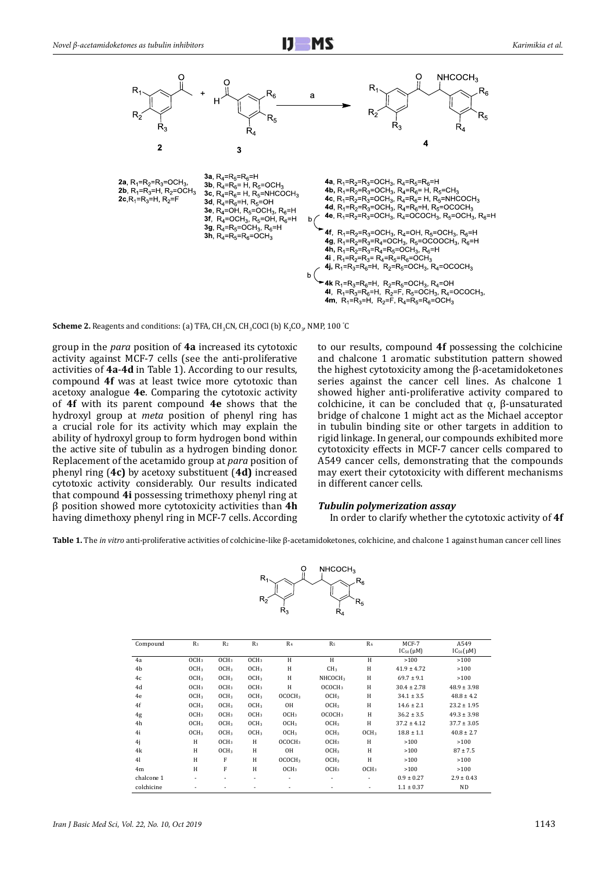

**Scheme 2.** Reagents and conditions: (a) TFA,  $\text{CH}_3\text{CN}$ ,  $\text{CH}_3\text{COCl}$  (b)  $\text{K}_2\text{CO}_3$ , NMP, 100  $^\circ\text{C}$ 

group in the *para* position of **4a** increased its cytotoxic activity against MCF-7 cells (see the anti-proliferative activities of **4a**-**4d** in Table 1). According to our results, compound **4f** was at least twice more cytotoxic than acetoxy analogue **4e**. Comparing the cytotoxic activity of **4f** with its parent compound **4e** shows that the hydroxyl group at *meta* position of phenyl ring has a crucial role for its activity which may explain the ability of hydroxyl group to form hydrogen bond within the active site of tubulin as a hydrogen binding donor. Replacement of the acetamido group at *para* position of phenyl ring (**4c)** by acetoxy substituent (**4d)** increased cytotoxic activity considerably. Our results indicated that compound **4i** possessing trimethoxy phenyl ring at β position showed more cytotoxicity activities than **4h** having dimethoxy phenyl ring in MCF-7 cells. According

to our results, compound **4f** possessing the colchicine and chalcone 1 aromatic substitution pattern showed the highest cytotoxicity among the β-acetamidoketones series against the cancer cell lines. As chalcone 1 showed higher anti-proliferative activity compared to colchicine, it can be concluded that  $α$ ,  $β$ -unsaturated bridge of chalcone 1 might act as the Michael acceptor in tubulin binding site or other targets in addition to rigid linkage. In general, our compounds exhibited more cytotoxicity effects in MCF-7 cancer cells compared to A549 cancer cells, demonstrating that the compounds may exert their cytotoxicity with different mechanisms in different cancer cells.

## *Tubulin polymerization assay*

In order to clarify whether the cytotoxic activity of **4f**

**Table 1.** The *in vitro* anti-proliferative activities of colchicine-like β-acetamidoketones, colchicine, and chalcone 1 against human cancer cell lines



| Compound       | $R_1$            | R <sub>2</sub>           | $R_3$            | R <sub>4</sub>     | R <sub>5</sub>      | R <sub>6</sub>   | MCF-7<br>$IC_{50}(\mu M)$ | A549<br>$IC_{50}(\mu M)$ |
|----------------|------------------|--------------------------|------------------|--------------------|---------------------|------------------|---------------------------|--------------------------|
| 4a             | OCH <sub>3</sub> | OCH <sub>3</sub>         | OCH <sub>3</sub> | H                  | H                   | H                | >100                      | >100                     |
| 4b             | OCH <sub>3</sub> | OCH <sub>3</sub>         | OCH <sub>3</sub> | H                  | CH <sub>3</sub>     | H                | $41.9 \pm 4.72$           | >100                     |
| 4c             | OCH <sub>3</sub> | OCH <sub>3</sub>         | OCH <sub>3</sub> | H                  | NHCOCH <sub>3</sub> | H                | $69.7 \pm 9.1$            | >100                     |
| 4d             | OCH <sub>3</sub> | OCH <sub>3</sub>         | OCH <sub>3</sub> | H                  | OCOCH3              | H                | $30.4 \pm 2.78$           | $48.9 \pm 3.98$          |
| 4e             | OCH <sub>3</sub> | OCH <sub>3</sub>         | OCH <sub>3</sub> | OCOCH3             | OCH <sub>3</sub>    | H                | $34.1 \pm 3.5$            | $48.8 \pm 4.2$           |
| 4f             | OCH <sub>3</sub> | OCH <sub>3</sub>         | OCH <sub>3</sub> | 0H                 | OCH <sub>3</sub>    | H                | $14.6 \pm 2.1$            | $23.2 \pm 1.95$          |
| 4g             | OCH <sub>3</sub> | OCH <sub>3</sub>         | OCH <sub>3</sub> | OCH <sub>3</sub>   | OCOCH3              | H                | $36.2 \pm 3.5$            | $49.3 \pm 3.98$          |
| 4h             | OCH <sub>3</sub> | OCH <sub>3</sub>         | OCH <sub>3</sub> | OCH <sub>3</sub>   | OCH <sub>3</sub>    | H                | $37.2 \pm 4.12$           | $37.7 \pm 3.05$          |
| 4i             | OCH <sub>3</sub> | OCH <sub>3</sub>         | OCH <sub>3</sub> | OCH <sub>3</sub>   | OCH <sub>3</sub>    | OCH <sub>3</sub> | $18.8 \pm 1.1$            | $40.8 \pm 2.7$           |
| 4j             | H                | OCH <sub>3</sub>         | H                | OCOCH3             | OCH <sub>3</sub>    | H                | >100                      | >100                     |
| 4k             | H                | OCH <sub>3</sub>         | H                | 0H                 | OCH <sub>3</sub>    | H                | >100                      | $87 \pm 7.5$             |
| 4 <sub>l</sub> | H                | F                        | H                | OCOCH <sub>3</sub> | OCH <sub>3</sub>    | H                | >100                      | >100                     |
| 4 <sub>m</sub> | H                | F                        | H                | OCH <sub>3</sub>   | OCH <sub>3</sub>    | OCH <sub>3</sub> | >100                      | >100                     |
| chalcone 1     | ٠                | $\overline{\phantom{a}}$ | ۰                | ٠                  | ۰                   | ٠                | $0.9 \pm 0.27$            | $2.9 \pm 0.43$           |
| colchicine     | ٠                | ۰                        | ٠                | ٠                  | ۰                   | ٠                | $1.1 \pm 0.37$            | <b>ND</b>                |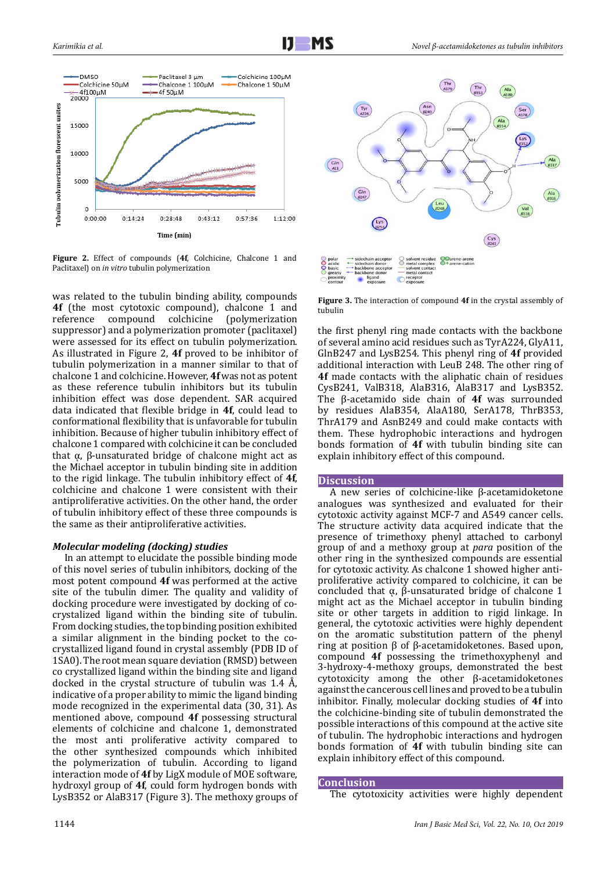

**Figure 2.** Effect of compounds (**4f**, Colchicine, Chalcone 1 and Paclitaxel) on *in vitro* tubulin polymerization

was related to the tubulin binding ability, compounds **4f** (the most cytotoxic compound), chalcone 1 and reference compound colchicine (polymerization suppressor) and a polymerization promoter (paclitaxel) were assessed for its effect on tubulin polymerization. As illustrated in Figure 2, **4f** proved to be inhibitor of tubulin polymerization in a manner similar to that of chalcone 1 and colchicine. However, **4f** was not as potent as these reference tubulin inhibitors but its tubulin inhibition effect was dose dependent. SAR acquired data indicated that flexible bridge in **4f**, could lead to conformational flexibility that is unfavorable for tubulin inhibition. Because of higher tubulin inhibitory effect of chalcone 1 compared with colchicine it can be concluded that α, β-unsaturated bridge of chalcone might act as the Michael acceptor in tubulin binding site in addition to the rigid linkage. The tubulin inhibitory effect of **4f**, colchicine and chalcone 1 were consistent with their antiproliferative activities. On the other hand, the order of tubulin inhibitory effect of these three compounds is the same as their antiproliferative activities.

## *Molecular modeling (docking) studies*

In an attempt to elucidate the possible binding mode of this novel series of tubulin inhibitors, docking of the most potent compound **4f** was performed at the active site of the tubulin dimer. The quality and validity of docking procedure were investigated by docking of cocrystalized ligand within the binding site of tubulin. From docking studies, the top binding position exhibited a similar alignment in the binding pocket to the cocrystallized ligand found in crystal assembly (PDB ID of 1SA0). The root mean square deviation (RMSD) between co crystallized ligand within the binding site and ligand docked in the crystal structure of tubulin was 1.4 Å, indicative of a proper ability to mimic the ligand binding mode recognized in the experimental data (30, 31). As mentioned above, compound **4f** possessing structural elements of colchicine and chalcone 1, demonstrated the most anti proliferative activity compared to the other synthesized compounds which inhibited the polymerization of tubulin. According to ligand interaction mode of **4f** by LigX module of MOE software, hydroxyl group of **4f**, could form hydrogen bonds with LysB352 or AlaB317 (Figure 3). The methoxy groups of



**Figure 3.** The interaction of compound **4f** in the crystal assembly of tubulin

the first phenyl ring made contacts with the backbone of several amino acid residues such as TyrA224, GlyA11, GlnB247 and LysB254. This phenyl ring of **4f** provided additional interaction with LeuB 248. The other ring of **4f** made contacts with the aliphatic chain of residues CysB241, ValB318, AlaB316, AlaB317 and LysB352. The β-acetamido side chain of **4f** was surrounded by residues AlaB354, AlaA180, SerA178, ThrB353, ThrA179 and AsnB249 and could make contacts with them. These hydrophobic interactions and hydrogen bonds formation of **4f** with tubulin binding site can explain inhibitory effect of this compound.

#### **Discussion**

A new series of colchicine-like β-acetamidoketone analogues was synthesized and evaluated for their cytotoxic activity against MCF-7 and A549 cancer cells. The structure activity data acquired indicate that the presence of trimethoxy phenyl attached to carbonyl group of and a methoxy group at *para* position of the other ring in the synthesized compounds are essential for cytotoxic activity. As chalcone 1 showed higher antiproliferative activity compared to colchicine, it can be concluded that α,  $β$ -unsaturated bridge of chalcone 1 might act as the Michael acceptor in tubulin binding site or other targets in addition to rigid linkage. In general, the cytotoxic activities were highly dependent on the aromatic substitution pattern of the phenyl ring at position β of β-acetamidoketones. Based upon, compound **4f** possessing the trimethoxyphenyl and 3-hydroxy-4-methoxy groups, demonstrated the best cytotoxicity among the other β-acetamidoketones against the cancerous cell lines and proved to be a tubulin inhibitor. Finally, molecular docking studies of **4f** into the colchicine-binding site of tubulin demonstrated the possible interactions of this compound at the active site of tubulin. The hydrophobic interactions and hydrogen bonds formation of **4f** with tubulin binding site can explain inhibitory effect of this compound.

#### **Conclusion**

The cytotoxicity activities were highly dependent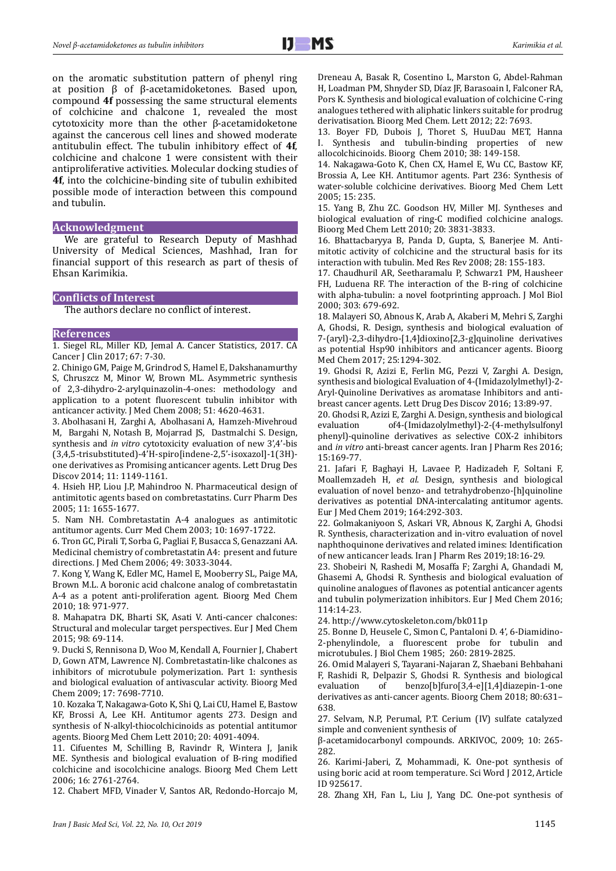on the aromatic substitution pattern of phenyl ring at position β of β-acetamidoketones. Based upon, compound **4f** possessing the same structural elements of colchicine and chalcone 1, revealed the most cytotoxicity more than the other β-acetamidoketone against the cancerous cell lines and showed moderate antitubulin effect. The tubulin inhibitory effect of **4f**, colchicine and chalcone 1 were consistent with their antiproliferative activities. Molecular docking studies of **4f**, into the colchicine-binding site of tubulin exhibited possible mode of interaction between this compound and tubulin.

#### **Acknowledgment**

We are grateful to Research Deputy of Mashhad University of Medical Sciences, Mashhad, Iran for financial support of this research as part of thesis of Ehsan Karimikia.

#### **Conflicts of Interest**

The authors declare no conflict of interest.

#### **References**

1. Siegel RL, Miller KD, Jemal A. Cancer Statistics, 2017. CA Cancer J Clin 2017; 67: 7-30.

2. Chinigo GM, Paige M, Grindrod S, Hamel E, Dakshanamurthy S, Chruszcz M, Minor W, Brown ML. Asymmetric synthesis of 2,3-dihydro-2-arylquinazolin-4-ones: methodology and application to a potent fluorescent tubulin inhibitor with anticancer activity. J Med Chem 2008; 51: 4620-4631.

3. Abolhasani H, Zarghi A, Abolhasani A, Hamzeh-Mivehroud M, Bargahi N, Notash B, Mojarrad JS, Dastmalchi S. Design, synthesis and *in vitro* cytotoxicity evaluation of new 3',4'-bis (3,4,5-trisubstituted)-4'H-spiro[indene-2,5'-isoxazol]-1(3H) one derivatives as Promising anticancer agents. Lett Drug Des Discov 2014; 11: 1149-1161.

4. Hsieh HP, Liou J.P, Mahindroo N. Pharmaceutical design of antimitotic agents based on combretastatins. Curr Pharm Des 2005; 11: 1655-1677.

5. Nam NH. Combretastatin A-4 analogues as antimitotic antitumor agents. Curr Med Chem 2003; 10: 1697-1722.

6. Tron GC, Pirali T, Sorba G, Pagliai F, Busacca S, Genazzani AA. Medicinal chemistry of combretastatin A4:  present and future directions. J Med Chem 2006; 49: 3033-3044.

7. Kong Y, Wang K, Edler MC, Hamel E, Mooberry SL, Paige MA, Brown M.L. A boronic acid chalcone analog of combretastatin A-4 as a potent anti-proliferation agent. Bioorg Med Chem 2010; 18: 971-977.

8. Mahapatra DK, Bharti SK, Asati V. Anti-cancer chalcones: Structural and molecular target perspectives. Eur J Med Chem 2015; 98: 69-114.

9. Ducki S, Rennisona D, Woo M, Kendall A, Fournier J, Chabert D, Gown ATM, Lawrence NJ. Combretastatin-like chalcones as inhibitors of microtubule polymerization. Part 1: synthesis and biological evaluation of antivascular activity. Bioorg Med Chem 2009; 17: 7698-7710.

10. Kozaka T, Nakagawa-Goto K, Shi Q, Lai CU, Hamel E, Bastow KF, Brossi A, Lee KH. Antitumor agents 273. Design and synthesis of N-alkyl-thiocolchicinoids as potential antitumor agents. Bioorg Med Chem Lett 2010; 20: 4091-4094.

11. Cifuentes M, Schilling B, Ravindr R, Wintera J, Janik ME. Synthesis and biological evaluation of B-ring modified colchicine and isocolchicine analogs. Bioorg Med Chem Lett 2006; 16: 2761-2764.

12. Chabert MFD, Vinader V, Santos AR, Redondo-Horcajo M,

Dreneau A, Basak R, Cosentino L, Marston G, Abdel-Rahman H, Loadman PM, Shnyder SD, Díaz JF, Barasoain I, Falconer RA, Pors K. Synthesis and biological evaluation of colchicine C-ring analogues tethered with aliphatic linkers suitable for prodrug derivatisation. Bioorg Med Chem. Lett 2012; 22: 7693.

13. Boyer FD, Dubois J, Thoret S, HuuDau MET, Hanna I. Synthesis and tubulin-binding properties of new allocolchicinoids. Bioorg Chem 2010; 38: 149-158.

14. Nakagawa-Goto K, Chen CX, Hamel E, Wu CC, Bastow KF, Brossia A, Lee KH. Antitumor agents. Part 236: Synthesis of water-soluble colchicine derivatives. Bioorg Med Chem Lett 2005; 15: 235.

15. Yang B, Zhu ZC. Goodson HV, Miller MJ. Syntheses and biological evaluation of ring-C modified colchicine analogs. Bioorg Med Chem Lett 2010; 20: 3831-3833.

16. Bhattacbaryya B, Panda D, Gupta, S, Banerjee M. Antimitotic activity of colchicine and the structural basis for its interaction with tubulin. Med Res Rev 2008; 28: 155-183.

17. Chaudhuril AR, Seetharamalu P, Schwarz1 PM, Hausheer FH, Luduena RF. The interaction of the B-ring of colchicine with alpha-tubulin: a novel footprinting approach. J Mol Biol 2000; 303: 679-692.

18. Malayeri SO, Abnous K, Arab A, Akaberi M, Mehri S, Zarghi A, Ghodsi, R. Design, synthesis and biological evaluation of 7-(aryl)-2,3-dihydro-[1,4]dioxino[2,3-g]quinoline derivatives as potential Hsp90 inhibitors and anticancer agents. Bioorg Med Chem 2017; 25:1294-302.

19. Ghodsi R, Azizi E, Ferlin MG, Pezzi V, Zarghi A. Design, synthesis and biological Evaluation of 4-(Imidazolylmethyl)-2- Aryl-Quinoline Derivatives as aromatase Inhibitors and antibreast cancer agents. Lett Drug Des Discov 2016; 13:89-97.

20. Ghodsi R, Azizi E, Zarghi A. Design, synthesis and biological of4-(Imidazolylmethyl)-2-(4-methylsulfonyl phenyl)-quinoline derivatives as selective COX-2 inhibitors and *in vitro* anti-breast cancer agents. Iran J Pharm Res 2016; 15:169-77.

21. Jafari F, Baghayi H, Lavaee P, Hadizadeh F, Soltani F, Moallemzadeh H, *et al*. Design, synthesis and biological evaluation of novel benzo- and tetrahydrobenzo-[h]quinoline derivatives as potential DNA-intercalating antitumor agents. Eur J Med Chem 2019; 164:292-303.

22. Golmakaniyoon S, Askari VR, Abnous K, Zarghi A, Ghodsi R. Synthesis, characterization and in-vitro evaluation of novel naphthoquinone derivatives and related imines: Identification of new anticancer leads. Iran J Pharm Res 2019;18:16-29.

23. Shobeiri N, Rashedi M, Mosaffa F; Zarghi A, Ghandadi M, Ghasemi A, Ghodsi R. Synthesis and biological evaluation of quinoline analogues of flavones as potential anticancer agents and tubulin polymerization inhibitors. Eur J Med Chem 2016; 114:14-23.

24.<http://www.cytoskeleton.com/bk011p>

25. Bonne D, Heusele C, Simon C, Pantaloni D. 4', 6-Diamidino-2-phenylindole, a fluorescent probe for tubulin and microtubules. J Biol Chem 1985; 260: 2819-2825.

26. Omid Malayeri S, Tayarani-Najaran Z, Shaebani Behbahani F, Rashidi R, Delpazir S, Ghodsi R. Synthesis and biological of benzo[b]furo[3,4-e][1,4]diazepin-1-one derivatives as anti-cancer agents. Bioorg Chem 2018; 80:631– 638.

27. Selvam, N.P, Perumal, P.T. Cerium (IV) sulfate catalyzed simple and convenient synthesis of

β-acetamidocarbonyl compounds. ARKIVOC, 2009; 10: 265- 282.

26. Karimi-Jaberi, Z, Mohammadi, K. One-pot synthesis of using boric acid at room temperature. Sci Word J 2012, Article ID 925617.

28. Zhang XH, Fan L, Liu J, Yang DC. One-pot synthesis of